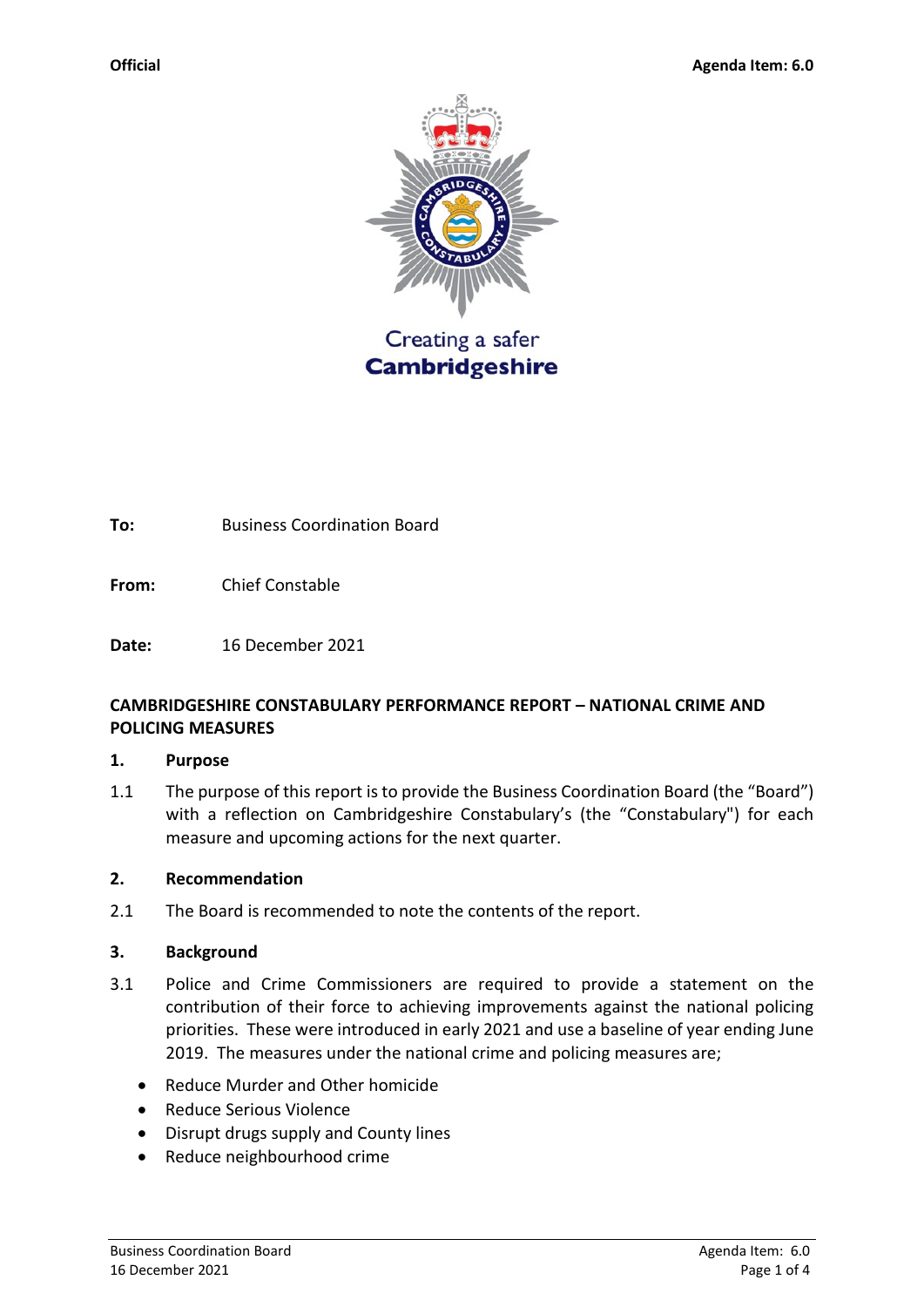

**To:** Business Coordination Board

**From:** Chief Constable

**Date:** 16 December 2021

## **CAMBRIDGESHIRE CONSTABULARY PERFORMANCE REPORT – NATIONAL CRIME AND POLICING MEASURES**

### **1. Purpose**

1.1 The purpose of this report is to provide the Business Coordination Board (the "Board") with a reflection on Cambridgeshire Constabulary's (the "Constabulary") for each measure and upcoming actions for the next quarter.

### **2. Recommendation**

2.1 The Board is recommended to note the contents of the report.

### **3. Background**

- 3.1 Police and Crime Commissioners are required to provide a statement on the contribution of their force to achieving improvements against the national policing priorities. These were introduced in early 2021 and use a baseline of year ending June 2019. The measures under the national crime and policing measures are;
	- Reduce Murder and Other homicide
	- Reduce Serious Violence
	- Disrupt drugs supply and County lines
	- Reduce neighbourhood crime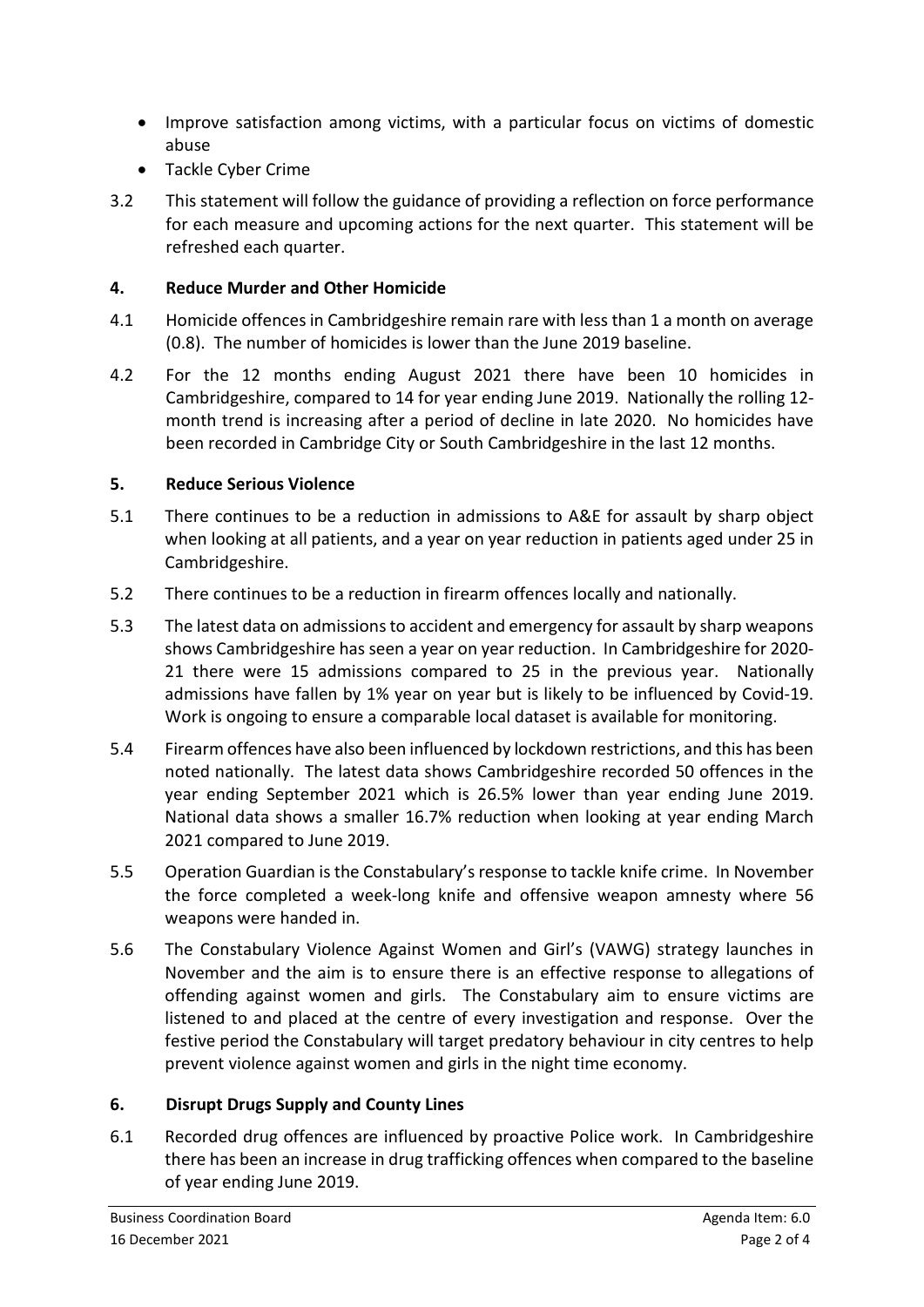- Improve satisfaction among victims, with a particular focus on victims of domestic abuse
- Tackle Cyber Crime
- 3.2 This statement will follow the guidance of providing a reflection on force performance for each measure and upcoming actions for the next quarter. This statement will be refreshed each quarter.

## **4. Reduce Murder and Other Homicide**

- 4.1 Homicide offences in Cambridgeshire remain rare with less than 1 a month on average (0.8). The number of homicides is lower than the June 2019 baseline.
- 4.2 For the 12 months ending August 2021 there have been 10 homicides in Cambridgeshire, compared to 14 for year ending June 2019. Nationally the rolling 12 month trend is increasing after a period of decline in late 2020. No homicides have been recorded in Cambridge City or South Cambridgeshire in the last 12 months.

# **5. Reduce Serious Violence**

- 5.1 There continues to be a reduction in admissions to A&E for assault by sharp object when looking at all patients, and a year on year reduction in patients aged under 25 in Cambridgeshire.
- 5.2 There continues to be a reduction in firearm offences locally and nationally.
- 5.3 The latest data on admissions to accident and emergency for assault by sharp weapons shows Cambridgeshire has seen a year on year reduction. In Cambridgeshire for 2020- 21 there were 15 admissions compared to 25 in the previous year. Nationally admissions have fallen by 1% year on year but is likely to be influenced by Covid-19. Work is ongoing to ensure a comparable local dataset is available for monitoring.
- 5.4 Firearm offences have also been influenced by lockdown restrictions, and this has been noted nationally. The latest data shows Cambridgeshire recorded 50 offences in the year ending September 2021 which is 26.5% lower than year ending June 2019. National data shows a smaller 16.7% reduction when looking at year ending March 2021 compared to June 2019.
- 5.5 Operation Guardian is the Constabulary's response to tackle knife crime. In November the force completed a week-long knife and offensive weapon amnesty where 56 weapons were handed in.
- 5.6 The Constabulary Violence Against Women and Girl's (VAWG) strategy launches in November and the aim is to ensure there is an effective response to allegations of offending against women and girls. The Constabulary aim to ensure victims are listened to and placed at the centre of every investigation and response. Over the festive period the Constabulary will target predatory behaviour in city centres to help prevent violence against women and girls in the night time economy.

# **6. Disrupt Drugs Supply and County Lines**

6.1 Recorded drug offences are influenced by proactive Police work. In Cambridgeshire there has been an increase in drug trafficking offences when compared to the baseline of year ending June 2019.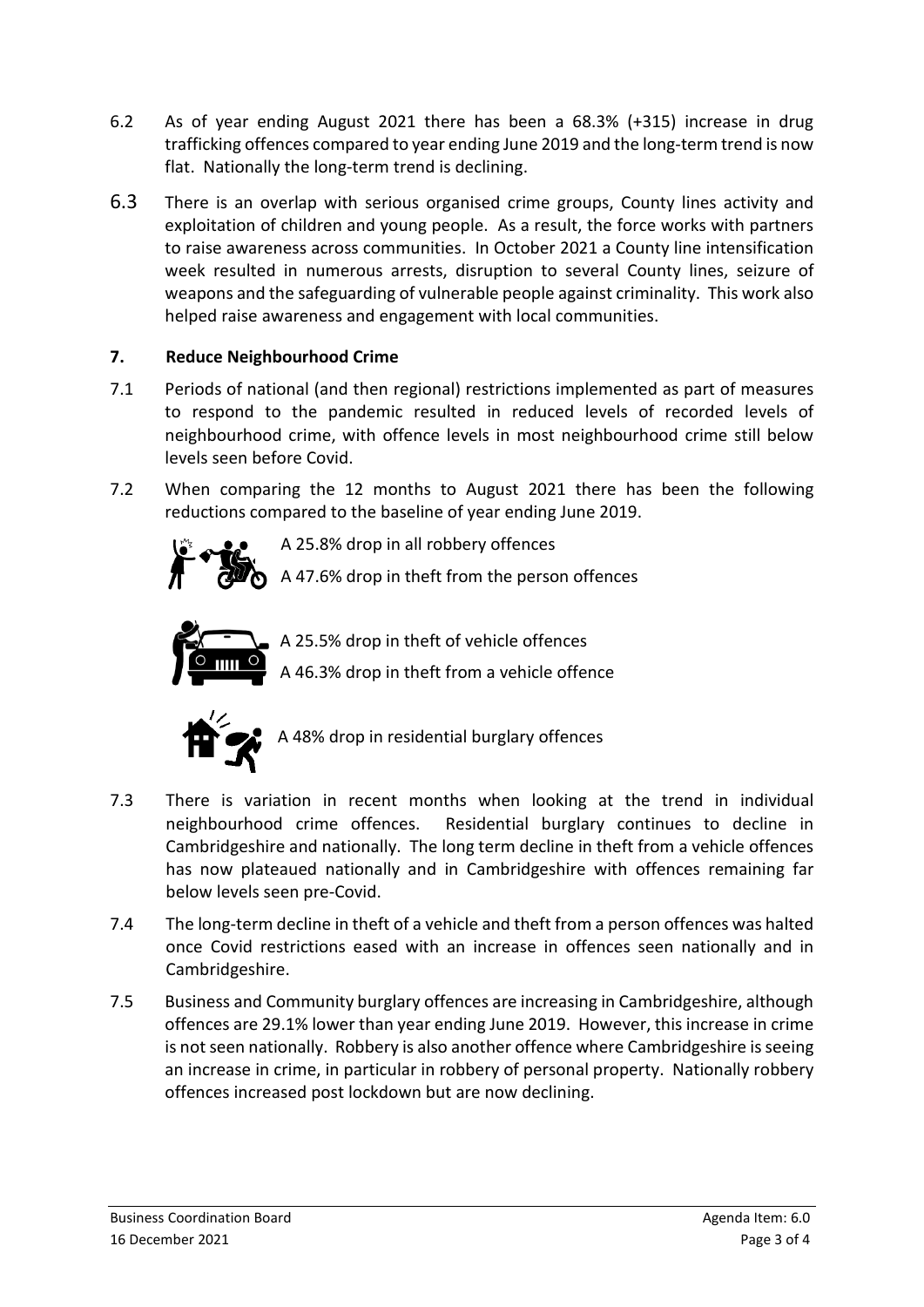- 6.2 As of year ending August 2021 there has been a 68.3% (+315) increase in drug trafficking offences compared to year ending June 2019 and the long-term trend is now flat. Nationally the long-term trend is declining.
- 6.3 There is an overlap with serious organised crime groups, County lines activity and exploitation of children and young people. As a result, the force works with partners to raise awareness across communities. In October 2021 a County line intensification week resulted in numerous arrests, disruption to several County lines, seizure of weapons and the safeguarding of vulnerable people against criminality. This work also helped raise awareness and engagement with local communities.

# **7. Reduce Neighbourhood Crime**

- 7.1 Periods of national (and then regional) restrictions implemented as part of measures to respond to the pandemic resulted in reduced levels of recorded levels of neighbourhood crime, with offence levels in most neighbourhood crime still below levels seen before Covid.
- 7.2 When comparing the 12 months to August 2021 there has been the following reductions compared to the baseline of year ending June 2019.



A 25.8% drop in all robbery offences

A 47.6% drop in theft from the person offences



A 25.5% drop in theft of vehicle offences

A 46.3% drop in theft from a vehicle offence



A 48% drop in residential burglary offences

- 7.3 There is variation in recent months when looking at the trend in individual neighbourhood crime offences. Residential burglary continues to decline in Cambridgeshire and nationally. The long term decline in theft from a vehicle offences has now plateaued nationally and in Cambridgeshire with offences remaining far below levels seen pre-Covid.
- 7.4 The long-term decline in theft of a vehicle and theft from a person offences was halted once Covid restrictions eased with an increase in offences seen nationally and in Cambridgeshire.
- 7.5 Business and Community burglary offences are increasing in Cambridgeshire, although offences are 29.1% lower than year ending June 2019. However, this increase in crime is not seen nationally. Robbery is also another offence where Cambridgeshire is seeing an increase in crime, in particular in robbery of personal property. Nationally robbery offences increased post lockdown but are now declining.